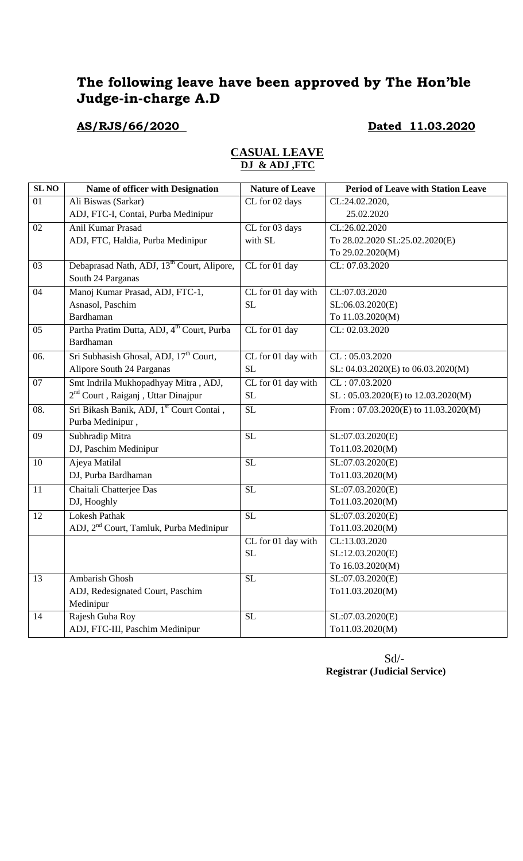# **The following leave have been approved by The Hon'ble Judge-in-charge A.D**

# **AS/RJS/66/2020 Dated 11.03.2020**

#### **CASUAL LEAVE DJ & ADJ ,FTC**

| 01<br>Ali Biswas (Sarkar)<br>CL for 02 days<br>CL:24.02.2020,<br>ADJ, FTC-I, Contai, Purba Medinipur<br>25.02.2020<br>Anil Kumar Prasad<br>02<br>CL for 03 days<br>CL:26.02.2020<br>with SL<br>To 28.02.2020 SL:25.02.2020(E)<br>ADJ, FTC, Haldia, Purba Medinipur<br>To 29.02.2020(M)<br>Debaprasad Nath, ADJ, 13 <sup>th</sup> Court, Alipore,<br>03<br>CL for 01 day<br>CL: 07.03.2020<br>South 24 Parganas<br>Manoj Kumar Prasad, ADJ, FTC-1,<br>04<br>CL for 01 day with<br>CL:07.03.2020<br>Asnasol, Paschim<br><b>SL</b><br>SL:06.03.2020(E)<br>Bardhaman<br>To 11.03.2020(M)<br>Partha Pratim Dutta, ADJ, 4 <sup>th</sup> Court, Purba<br>CL for 01 day<br>05<br>CL: 02.03.2020<br>Bardhaman<br>Sri Subhasish Ghosal, ADJ, 17 <sup>th</sup> Court,<br>06.<br>CL for 01 day with<br>CL: 05.03.2020<br>Alipore South 24 Parganas<br><b>SL</b><br>SL: 04.03.2020(E) to 06.03.2020(M)<br>Smt Indrila Mukhopadhyay Mitra, ADJ,<br>07<br>CL for 01 day with<br>CL: 07.03.2020<br>2 <sup>nd</sup> Court, Raiganj, Uttar Dinajpur<br>$\rm SL$<br>$SL: 05.03.2020(E)$ to $12.03.2020(M)$<br>Sri Bikash Banik, ADJ, 1st Court Contai,<br><b>SL</b><br>08.<br>From: $07.03.2020(E)$ to $11.03.2020(M)$<br>Purba Medinipur,<br>Subhradip Mitra<br><b>SL</b><br>09<br>$\overline{SL}:07.03.2020(E)$<br>DJ, Paschim Medinipur<br>To11.03.2020(M)<br>Ajeya Matilal<br><b>SL</b><br>SL:07.03.2020(E)<br>10<br>DJ, Purba Bardhaman<br>To11.03.2020(M)<br><b>SL</b><br>11<br>Chaitali Chatterjee Das<br>SL:07.03.2020(E)<br>DJ, Hooghly<br>To11.03.2020(M)<br><b>SL</b><br><b>Lokesh Pathak</b><br>SL:07.03.2020(E)<br>12<br>ADJ, 2 <sup>nd</sup> Court, Tamluk, Purba Medinipur<br>To11.03.2020(M)<br>CL:13.03.2020<br>CL for 01 day with<br><b>SL</b><br>SL:12.03.2020(E)<br>To 16.03.2020(M)<br><b>SL</b><br>13<br>Ambarish Ghosh<br>SL:07.03.2020(E)<br>ADJ, Redesignated Court, Paschim<br>To11.03.2020(M)<br>Medinipur<br><b>SL</b><br>14<br>Rajesh Guha Roy<br>SL:07.03.2020(E)<br>ADJ, FTC-III, Paschim Medinipur<br>To11.03.2020(M) | <b>SL NO</b> | Name of officer with Designation | <b>Nature of Leave</b> | <b>Period of Leave with Station Leave</b> |
|------------------------------------------------------------------------------------------------------------------------------------------------------------------------------------------------------------------------------------------------------------------------------------------------------------------------------------------------------------------------------------------------------------------------------------------------------------------------------------------------------------------------------------------------------------------------------------------------------------------------------------------------------------------------------------------------------------------------------------------------------------------------------------------------------------------------------------------------------------------------------------------------------------------------------------------------------------------------------------------------------------------------------------------------------------------------------------------------------------------------------------------------------------------------------------------------------------------------------------------------------------------------------------------------------------------------------------------------------------------------------------------------------------------------------------------------------------------------------------------------------------------------------------------------------------------------------------------------------------------------------------------------------------------------------------------------------------------------------------------------------------------------------------------------------------------------------------------------------------------------------------------------------------------------------------------------------------------------------------------------------------------------------------|--------------|----------------------------------|------------------------|-------------------------------------------|
|                                                                                                                                                                                                                                                                                                                                                                                                                                                                                                                                                                                                                                                                                                                                                                                                                                                                                                                                                                                                                                                                                                                                                                                                                                                                                                                                                                                                                                                                                                                                                                                                                                                                                                                                                                                                                                                                                                                                                                                                                                    |              |                                  |                        |                                           |
|                                                                                                                                                                                                                                                                                                                                                                                                                                                                                                                                                                                                                                                                                                                                                                                                                                                                                                                                                                                                                                                                                                                                                                                                                                                                                                                                                                                                                                                                                                                                                                                                                                                                                                                                                                                                                                                                                                                                                                                                                                    |              |                                  |                        |                                           |
|                                                                                                                                                                                                                                                                                                                                                                                                                                                                                                                                                                                                                                                                                                                                                                                                                                                                                                                                                                                                                                                                                                                                                                                                                                                                                                                                                                                                                                                                                                                                                                                                                                                                                                                                                                                                                                                                                                                                                                                                                                    |              |                                  |                        |                                           |
|                                                                                                                                                                                                                                                                                                                                                                                                                                                                                                                                                                                                                                                                                                                                                                                                                                                                                                                                                                                                                                                                                                                                                                                                                                                                                                                                                                                                                                                                                                                                                                                                                                                                                                                                                                                                                                                                                                                                                                                                                                    |              |                                  |                        |                                           |
|                                                                                                                                                                                                                                                                                                                                                                                                                                                                                                                                                                                                                                                                                                                                                                                                                                                                                                                                                                                                                                                                                                                                                                                                                                                                                                                                                                                                                                                                                                                                                                                                                                                                                                                                                                                                                                                                                                                                                                                                                                    |              |                                  |                        |                                           |
|                                                                                                                                                                                                                                                                                                                                                                                                                                                                                                                                                                                                                                                                                                                                                                                                                                                                                                                                                                                                                                                                                                                                                                                                                                                                                                                                                                                                                                                                                                                                                                                                                                                                                                                                                                                                                                                                                                                                                                                                                                    |              |                                  |                        |                                           |
|                                                                                                                                                                                                                                                                                                                                                                                                                                                                                                                                                                                                                                                                                                                                                                                                                                                                                                                                                                                                                                                                                                                                                                                                                                                                                                                                                                                                                                                                                                                                                                                                                                                                                                                                                                                                                                                                                                                                                                                                                                    |              |                                  |                        |                                           |
|                                                                                                                                                                                                                                                                                                                                                                                                                                                                                                                                                                                                                                                                                                                                                                                                                                                                                                                                                                                                                                                                                                                                                                                                                                                                                                                                                                                                                                                                                                                                                                                                                                                                                                                                                                                                                                                                                                                                                                                                                                    |              |                                  |                        |                                           |
|                                                                                                                                                                                                                                                                                                                                                                                                                                                                                                                                                                                                                                                                                                                                                                                                                                                                                                                                                                                                                                                                                                                                                                                                                                                                                                                                                                                                                                                                                                                                                                                                                                                                                                                                                                                                                                                                                                                                                                                                                                    |              |                                  |                        |                                           |
|                                                                                                                                                                                                                                                                                                                                                                                                                                                                                                                                                                                                                                                                                                                                                                                                                                                                                                                                                                                                                                                                                                                                                                                                                                                                                                                                                                                                                                                                                                                                                                                                                                                                                                                                                                                                                                                                                                                                                                                                                                    |              |                                  |                        |                                           |
|                                                                                                                                                                                                                                                                                                                                                                                                                                                                                                                                                                                                                                                                                                                                                                                                                                                                                                                                                                                                                                                                                                                                                                                                                                                                                                                                                                                                                                                                                                                                                                                                                                                                                                                                                                                                                                                                                                                                                                                                                                    |              |                                  |                        |                                           |
|                                                                                                                                                                                                                                                                                                                                                                                                                                                                                                                                                                                                                                                                                                                                                                                                                                                                                                                                                                                                                                                                                                                                                                                                                                                                                                                                                                                                                                                                                                                                                                                                                                                                                                                                                                                                                                                                                                                                                                                                                                    |              |                                  |                        |                                           |
|                                                                                                                                                                                                                                                                                                                                                                                                                                                                                                                                                                                                                                                                                                                                                                                                                                                                                                                                                                                                                                                                                                                                                                                                                                                                                                                                                                                                                                                                                                                                                                                                                                                                                                                                                                                                                                                                                                                                                                                                                                    |              |                                  |                        |                                           |
|                                                                                                                                                                                                                                                                                                                                                                                                                                                                                                                                                                                                                                                                                                                                                                                                                                                                                                                                                                                                                                                                                                                                                                                                                                                                                                                                                                                                                                                                                                                                                                                                                                                                                                                                                                                                                                                                                                                                                                                                                                    |              |                                  |                        |                                           |
|                                                                                                                                                                                                                                                                                                                                                                                                                                                                                                                                                                                                                                                                                                                                                                                                                                                                                                                                                                                                                                                                                                                                                                                                                                                                                                                                                                                                                                                                                                                                                                                                                                                                                                                                                                                                                                                                                                                                                                                                                                    |              |                                  |                        |                                           |
|                                                                                                                                                                                                                                                                                                                                                                                                                                                                                                                                                                                                                                                                                                                                                                                                                                                                                                                                                                                                                                                                                                                                                                                                                                                                                                                                                                                                                                                                                                                                                                                                                                                                                                                                                                                                                                                                                                                                                                                                                                    |              |                                  |                        |                                           |
|                                                                                                                                                                                                                                                                                                                                                                                                                                                                                                                                                                                                                                                                                                                                                                                                                                                                                                                                                                                                                                                                                                                                                                                                                                                                                                                                                                                                                                                                                                                                                                                                                                                                                                                                                                                                                                                                                                                                                                                                                                    |              |                                  |                        |                                           |
|                                                                                                                                                                                                                                                                                                                                                                                                                                                                                                                                                                                                                                                                                                                                                                                                                                                                                                                                                                                                                                                                                                                                                                                                                                                                                                                                                                                                                                                                                                                                                                                                                                                                                                                                                                                                                                                                                                                                                                                                                                    |              |                                  |                        |                                           |
|                                                                                                                                                                                                                                                                                                                                                                                                                                                                                                                                                                                                                                                                                                                                                                                                                                                                                                                                                                                                                                                                                                                                                                                                                                                                                                                                                                                                                                                                                                                                                                                                                                                                                                                                                                                                                                                                                                                                                                                                                                    |              |                                  |                        |                                           |
|                                                                                                                                                                                                                                                                                                                                                                                                                                                                                                                                                                                                                                                                                                                                                                                                                                                                                                                                                                                                                                                                                                                                                                                                                                                                                                                                                                                                                                                                                                                                                                                                                                                                                                                                                                                                                                                                                                                                                                                                                                    |              |                                  |                        |                                           |
|                                                                                                                                                                                                                                                                                                                                                                                                                                                                                                                                                                                                                                                                                                                                                                                                                                                                                                                                                                                                                                                                                                                                                                                                                                                                                                                                                                                                                                                                                                                                                                                                                                                                                                                                                                                                                                                                                                                                                                                                                                    |              |                                  |                        |                                           |
|                                                                                                                                                                                                                                                                                                                                                                                                                                                                                                                                                                                                                                                                                                                                                                                                                                                                                                                                                                                                                                                                                                                                                                                                                                                                                                                                                                                                                                                                                                                                                                                                                                                                                                                                                                                                                                                                                                                                                                                                                                    |              |                                  |                        |                                           |
|                                                                                                                                                                                                                                                                                                                                                                                                                                                                                                                                                                                                                                                                                                                                                                                                                                                                                                                                                                                                                                                                                                                                                                                                                                                                                                                                                                                                                                                                                                                                                                                                                                                                                                                                                                                                                                                                                                                                                                                                                                    |              |                                  |                        |                                           |
|                                                                                                                                                                                                                                                                                                                                                                                                                                                                                                                                                                                                                                                                                                                                                                                                                                                                                                                                                                                                                                                                                                                                                                                                                                                                                                                                                                                                                                                                                                                                                                                                                                                                                                                                                                                                                                                                                                                                                                                                                                    |              |                                  |                        |                                           |
|                                                                                                                                                                                                                                                                                                                                                                                                                                                                                                                                                                                                                                                                                                                                                                                                                                                                                                                                                                                                                                                                                                                                                                                                                                                                                                                                                                                                                                                                                                                                                                                                                                                                                                                                                                                                                                                                                                                                                                                                                                    |              |                                  |                        |                                           |
|                                                                                                                                                                                                                                                                                                                                                                                                                                                                                                                                                                                                                                                                                                                                                                                                                                                                                                                                                                                                                                                                                                                                                                                                                                                                                                                                                                                                                                                                                                                                                                                                                                                                                                                                                                                                                                                                                                                                                                                                                                    |              |                                  |                        |                                           |
|                                                                                                                                                                                                                                                                                                                                                                                                                                                                                                                                                                                                                                                                                                                                                                                                                                                                                                                                                                                                                                                                                                                                                                                                                                                                                                                                                                                                                                                                                                                                                                                                                                                                                                                                                                                                                                                                                                                                                                                                                                    |              |                                  |                        |                                           |
|                                                                                                                                                                                                                                                                                                                                                                                                                                                                                                                                                                                                                                                                                                                                                                                                                                                                                                                                                                                                                                                                                                                                                                                                                                                                                                                                                                                                                                                                                                                                                                                                                                                                                                                                                                                                                                                                                                                                                                                                                                    |              |                                  |                        |                                           |
|                                                                                                                                                                                                                                                                                                                                                                                                                                                                                                                                                                                                                                                                                                                                                                                                                                                                                                                                                                                                                                                                                                                                                                                                                                                                                                                                                                                                                                                                                                                                                                                                                                                                                                                                                                                                                                                                                                                                                                                                                                    |              |                                  |                        |                                           |
|                                                                                                                                                                                                                                                                                                                                                                                                                                                                                                                                                                                                                                                                                                                                                                                                                                                                                                                                                                                                                                                                                                                                                                                                                                                                                                                                                                                                                                                                                                                                                                                                                                                                                                                                                                                                                                                                                                                                                                                                                                    |              |                                  |                        |                                           |
|                                                                                                                                                                                                                                                                                                                                                                                                                                                                                                                                                                                                                                                                                                                                                                                                                                                                                                                                                                                                                                                                                                                                                                                                                                                                                                                                                                                                                                                                                                                                                                                                                                                                                                                                                                                                                                                                                                                                                                                                                                    |              |                                  |                        |                                           |
|                                                                                                                                                                                                                                                                                                                                                                                                                                                                                                                                                                                                                                                                                                                                                                                                                                                                                                                                                                                                                                                                                                                                                                                                                                                                                                                                                                                                                                                                                                                                                                                                                                                                                                                                                                                                                                                                                                                                                                                                                                    |              |                                  |                        |                                           |
|                                                                                                                                                                                                                                                                                                                                                                                                                                                                                                                                                                                                                                                                                                                                                                                                                                                                                                                                                                                                                                                                                                                                                                                                                                                                                                                                                                                                                                                                                                                                                                                                                                                                                                                                                                                                                                                                                                                                                                                                                                    |              |                                  |                        |                                           |
|                                                                                                                                                                                                                                                                                                                                                                                                                                                                                                                                                                                                                                                                                                                                                                                                                                                                                                                                                                                                                                                                                                                                                                                                                                                                                                                                                                                                                                                                                                                                                                                                                                                                                                                                                                                                                                                                                                                                                                                                                                    |              |                                  |                        |                                           |

Sd/- **Registrar (Judicial Service)**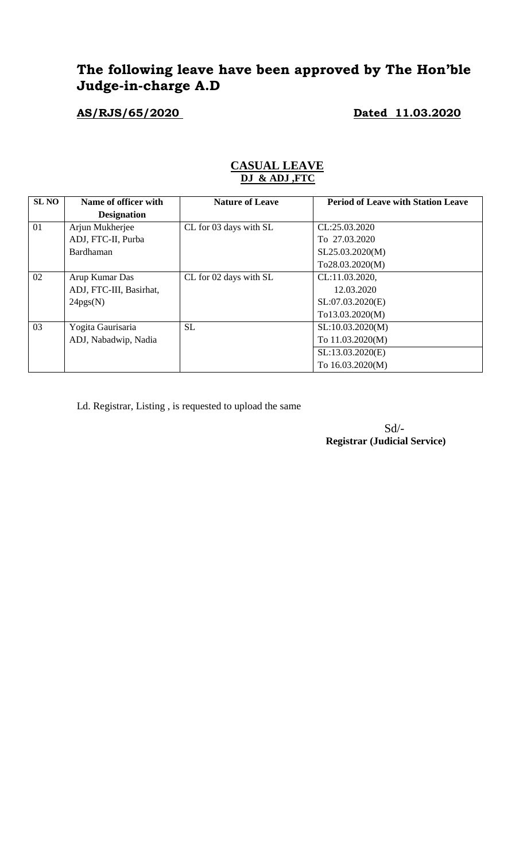# **The following leave have been approved by The Hon'ble Judge-in-charge A.D**

**AS/RJS/65/2020 Dated 11.03.2020**

| <b>SL NO</b> | Name of officer with    | <b>Nature of Leave</b> | <b>Period of Leave with Station Leave</b> |
|--------------|-------------------------|------------------------|-------------------------------------------|
|              | <b>Designation</b>      |                        |                                           |
| 01           | Arjun Mukherjee         | CL for 03 days with SL | CL:25.03.2020                             |
|              | ADJ, FTC-II, Purba      |                        | To 27.03.2020                             |
|              | Bardhaman               |                        | SL25.03.2020(M)                           |
|              |                         |                        | To28.03.2020(M)                           |
| 02           | Arup Kumar Das          | CL for 02 days with SL | CL:11.03.2020,                            |
|              | ADJ, FTC-III, Basirhat, |                        | 12.03.2020                                |
|              | 24pgs(N)                |                        | SL:07.03.2020(E)                          |
|              |                         |                        | To13.03.2020(M)                           |
| 03           | Yogita Gaurisaria       | <b>SL</b>              | SL:10.03.2020(M)                          |
|              | ADJ, Nabadwip, Nadia    |                        | To 11.03.2020(M)                          |
|              |                         |                        | SL:13.03.2020(E)                          |
|              |                         |                        | To 16.03.2020(M)                          |

#### **CASUAL LEAVE DJ & ADJ ,FTC**

Ld. Registrar, Listing , is requested to upload the same

Sd/- **Registrar (Judicial Service)**